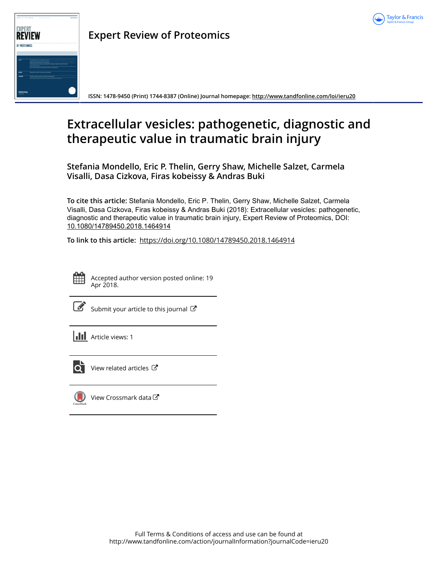



**Expert Review of Proteomics**

**ISSN: 1478-9450 (Print) 1744-8387 (Online) Journal homepage:<http://www.tandfonline.com/loi/ieru20>**

# **Extracellular vesicles: pathogenetic, diagnostic and therapeutic value in traumatic brain injury**

**Stefania Mondello, Eric P. Thelin, Gerry Shaw, Michelle Salzet, Carmela Visalli, Dasa Cizkova, Firas kobeissy & Andras Buki**

**To cite this article:** Stefania Mondello, Eric P. Thelin, Gerry Shaw, Michelle Salzet, Carmela Visalli, Dasa Cizkova, Firas kobeissy & Andras Buki (2018): Extracellular vesicles: pathogenetic, diagnostic and therapeutic value in traumatic brain injury, Expert Review of Proteomics, DOI: [10.1080/14789450.2018.1464914](http://www.tandfonline.com/action/showCitFormats?doi=10.1080/14789450.2018.1464914)

**To link to this article:** <https://doi.org/10.1080/14789450.2018.1464914>



Accepted author version posted online: 19 Apr 2018.

| ł<br>۰. |
|---------|
|         |

[Submit your article to this journal](http://www.tandfonline.com/action/authorSubmission?journalCode=ieru20&show=instructions)  $\mathbb{Z}$ 

**III** Article views: 1



 $\overline{\mathbf{Q}}$  [View related articles](http://www.tandfonline.com/doi/mlt/10.1080/14789450.2018.1464914)  $\mathbf{C}$ 



[View Crossmark data](http://crossmark.crossref.org/dialog/?doi=10.1080/14789450.2018.1464914&domain=pdf&date_stamp=2018-04-19) $\mathbb{Z}$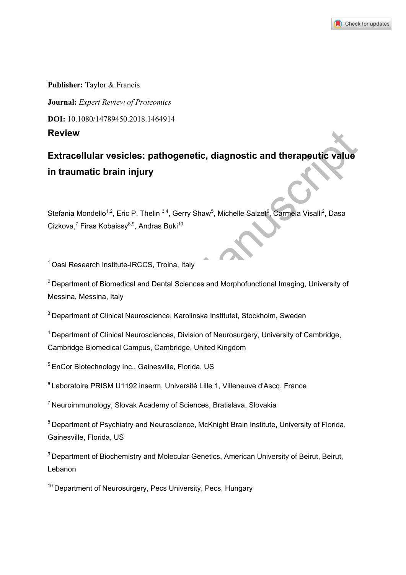

**Publisher:** Taylor & Francis **Journal:** *Expert Review of Proteomics*  **DOI:** 10.1080/14789450.2018.1464914 **Review** 

Review<br>
Extracellular vesicles: pathogenetic, diagnostic and therapeutic value<br>
in traumatic brain injury<br>
Stefania Mondello<sup>19</sup>. Eric P. Thelin<sup>34</sup>. Gerry Shaw<sup>n</sup>, Michelle Salzet<sup>ic</sup>, Carmela Visalii<sup>2</sup>, Dasa<br>
Cizkova,<sup>7</sup> **Extracellular vesicles: pathogenetic, diagnostic and therapeutic value in traumatic brain injury** 

Stefania Mondello<sup>1,2</sup>, Eric P. Thelin<sup>3,4</sup>, Gerry Shaw<sup>5</sup>, Michelle Salzet<sup>6</sup>, Carmela Visalli<sup>2</sup>, Dasa Cizkova,<sup>7</sup> Firas Kobaissy<sup>8,9</sup>, Andras Buki<sup>10</sup>

1 Oasi Research Institute-IRCCS, Troina, Italy

2 Department of Biomedical and Dental Sciences and Morphofunctional Imaging, University of Messina, Messina, Italy

<sup>3</sup> Department of Clinical Neuroscience, Karolinska Institutet, Stockholm, Sweden

4 Department of Clinical Neurosciences, Division of Neurosurgery, University of Cambridge, Cambridge Biomedical Campus, Cambridge, United Kingdom

5 EnCor Biotechnology Inc., Gainesville, Florida, US

6 Laboratoire PRISM U1192 inserm, Université Lille 1, Villeneuve d'Ascq, France

7 Neuroimmunology, Slovak Academy of Sciences, Bratislava, Slovakia

<sup>8</sup> Department of Psychiatry and Neuroscience, McKnight Brain Institute, University of Florida, Gainesville, Florida, US

<sup>9</sup> Department of Biochemistry and Molecular Genetics, American University of Beirut, Beirut, Lebanon

<sup>10</sup> Department of Neurosurgery, Pecs University, Pecs, Hungary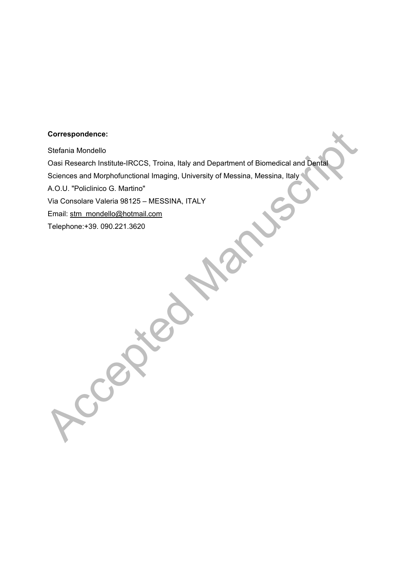### **Correspondence:**

Correspondence:<br>
Stefania Mondello<br>
Oasi Research Institute-IRCCS, Troina, Italy and Department of Biomedical and Depta<br>
Sciences and Morphofunctional Imaging, University of Messina, Messina, Italy<br>
A.O.U. "Policilnico G. Stefania Mondello Oasi Research Institute-IRCCS, Troina, Italy and Department of Biomedical and Dental Sciences and Morphofunctional Imaging, University of Messina, Messina, Italy A.O.U. "Policlinico G. Martino" Via Consolare Valeria 98125 – MESSINA, ITALY Email: stm\_mondello@hotmail.com Telephone:+39. 090.221.3620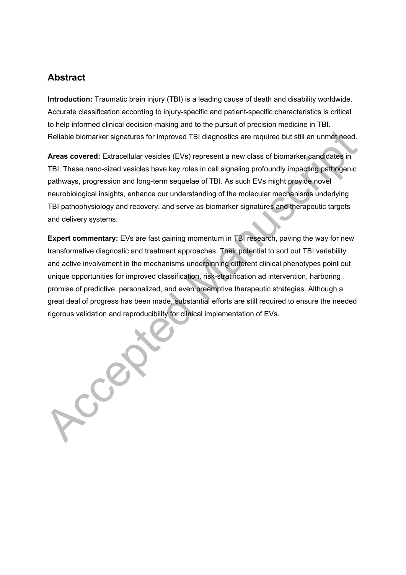# **Abstract**

**Introduction:** Traumatic brain injury (TBI) is a leading cause of death and disability worldwide. Accurate classification according to injury-specific and patient-specific characteristics is critical to help informed clinical decision-making and to the pursuit of precision medicine in TBI. Reliable biomarker signatures for improved TBI diagnostics are required but still an unmet need.

**Areas covered:** Extracellular vesicles (EVs) represent a new class of biomarker candidates in TBI. These nano-sized vesicles have key roles in cell signaling profoundly impacting pathogenic pathways, progression and long-term sequelae of TBI. As such EVs might provide novel neurobiological insights, enhance our understanding of the molecular mechanisms underlying TBI pathophysiology and recovery, and serve as biomarker signatures and therapeutic targets and delivery systems.

Reliable biomarker signatures for improved TBI diagnostics are required but still an unmer heed.<br> **Areas covered:** Extracellular vesicles (EVs) represent a new class of biomarker candidates in<br>
TBI. These nano-sized vesicl **Expert commentary:** EVs are fast gaining momentum in TBI research, paving the way for new transformative diagnostic and treatment approaches. Their potential to sort out TBI variability and active involvement in the mechanisms underpinning different clinical phenotypes point out unique opportunities for improved classification, risk-stratification ad intervention, harboring promise of predictive, personalized, and even preemptive therapeutic strategies. Although a great deal of progress has been made, substantial efforts are still required to ensure the needed rigorous validation and reproducibility for clinical implementation of EVs.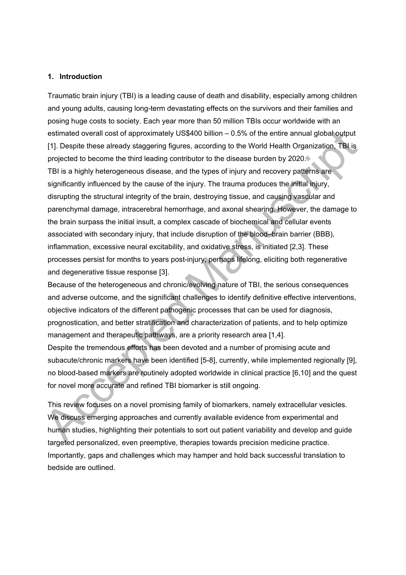#### **1. Introduction**

estimated overall cost of approximately US\$400 billion – 0.5% of the entire annual global output<br>
[1]. Despite these already slaggering fligrues, according to the World Health Organization, TBI is<br>
projected to become the Traumatic brain injury (TBI) is a leading cause of death and disability, especially among children and young adults, causing long-term devastating effects on the survivors and their families and posing huge costs to society. Each year more than 50 million TBIs occur worldwide with an estimated overall cost of approximately US\$400 billion – 0.5% of the entire annual global output [1]. Despite these already staggering figures, according to the World Health Organization, TBI is projected to become the third leading contributor to the disease burden by 2020. TBI is a highly heterogeneous disease, and the types of injury and recovery patterns are significantly influenced by the cause of the injury. The trauma produces the initial injury, disrupting the structural integrity of the brain, destroying tissue, and causing vascular and parenchymal damage, intracerebral hemorrhage, and axonal shearing. However, the damage to the brain surpass the initial insult, a complex cascade of biochemical and cellular events associated with secondary injury, that include disruption of the blood–brain barrier (BBB), inflammation, excessive neural excitability, and oxidative stress, is initiated [2,3]. These processes persist for months to years post-injury, perhaps lifelong, eliciting both regenerative and degenerative tissue response [3].

Because of the heterogeneous and chronic/evolving nature of TBI, the serious consequences and adverse outcome, and the significant challenges to identify definitive effective interventions, objective indicators of the different pathogenic processes that can be used for diagnosis, prognostication, and better stratification and characterization of patients, and to help optimize management and therapeutic pathways, are a priority research area [1,4].

Despite the tremendous efforts has been devoted and a number of promising acute and subacute/chronic markers have been identified [5-8], currently, while implemented regionally [9], no blood-based markers are routinely adopted worldwide in clinical practice [6,10] and the quest for novel more accurate and refined TBI biomarker is still ongoing.

This review focuses on a novel promising family of biomarkers, namely extracellular vesicles. We discuss emerging approaches and currently available evidence from experimental and human studies, highlighting their potentials to sort out patient variability and develop and guide targeted personalized, even preemptive, therapies towards precision medicine practice. Importantly, gaps and challenges which may hamper and hold back successful translation to bedside are outlined.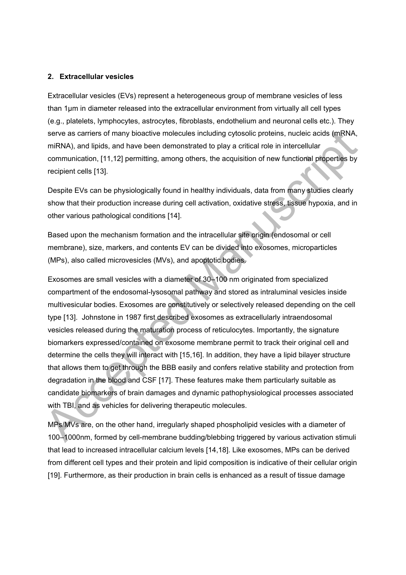#### **2. Extracellular vesicles**

Extracellular vesicles (EVs) represent a heterogeneous group of membrane vesicles of less than 1μm in diameter released into the extracellular environment from virtually all cell types (e.g., platelets, lymphocytes, astrocytes, fibroblasts, endothelium and neuronal cells etc.). They serve as carriers of many bioactive molecules including cytosolic proteins, nucleic acids (mRNA, miRNA), and lipids, and have been demonstrated to play a critical role in intercellular communication, [11,12] permitting, among others, the acquisition of new functional properties by recipient cells [13].

Despite EVs can be physiologically found in healthy individuals, data from many studies clearly show that their production increase during cell activation, oxidative stress, tissue hypoxia, and in other various pathological conditions [14].

Based upon the mechanism formation and the intracellular site origin (endosomal or cell membrane), size, markers, and contents EV can be divided into exosomes, microparticles (MPs), also called microvesicles (MVs), and apoptotic bodies.

serve as carriers of many bioactive molecules including cytosolic proteins, nucleic acids (mRNA, miRNA), and pipols, and have been demonstrated to play a critical role in intercelular<br>communication, [11,12] permitting, amo Exosomes are small vesicles with a diameter of 30–100 nm originated from specialized compartment of the endosomal-lysosomal pathway and stored as intraluminal vesicles inside multivesicular bodies. Exosomes are constitutively or selectively released depending on the cell type [13]. Johnstone in 1987 first described exosomes as extracellularly intraendosomal vesicles released during the maturation process of reticulocytes. Importantly, the signature biomarkers expressed/contained on exosome membrane permit to track their original cell and determine the cells they will interact with [15,16]. In addition, they have a lipid bilayer structure that allows them to get through the BBB easily and confers relative stability and protection from degradation in the blood and CSF [17]. These features make them particularly suitable as candidate biomarkers of brain damages and dynamic pathophysiological processes associated with TBI, and as vehicles for delivering therapeutic molecules.

MPs/MVs are, on the other hand, irregularly shaped phospholipid vesicles with a diameter of 100–1000nm, formed by cell-membrane budding/blebbing triggered by various activation stimuli that lead to increased intracellular calcium levels [14,18]. Like exosomes, MPs can be derived from different cell types and their protein and lipid composition is indicative of their cellular origin [19]. Furthermore, as their production in brain cells is enhanced as a result of tissue damage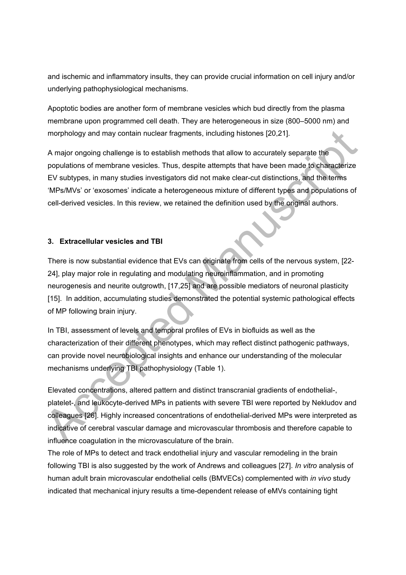and ischemic and inflammatory insults, they can provide crucial information on cell injury and/or underlying pathophysiological mechanisms.

Apoptotic bodies are another form of membrane vesicles which bud directly from the plasma membrane upon programmed cell death. They are heterogeneous in size (800–5000 nm) and morphology and may contain nuclear fragments, including histones [20,21].

A major ongoing challenge is to establish methods that allow to accurately separate the populations of membrane vesicles. Thus, despite attempts that have been made to characterize EV subtypes, in many studies investigators did not make clear-cut distinctions, and the terms 'MPs/MVs' or 'exosomes' indicate a heterogeneous mixture of different types and populations of cell-derived vesicles. In this review, we retained the definition used by the original authors.

## **3. Extracellular vesicles and TBI**

morphology and may contain nuclear fragments, including histones [20,21].<br>
A major ongoing challenge is to establish methods that allow to accurately separate the<br>
populations of membrane vesicles. Thus, despite attempts t There is now substantial evidence that EVs can originate from cells of the nervous system, [22- 24], play major role in regulating and modulating neuroinflammation, and in promoting neurogenesis and neurite outgrowth, [17,25] and are possible mediators of neuronal plasticity [15]. In addition, accumulating studies demonstrated the potential systemic pathological effects of MP following brain injury.

In TBI, assessment of levels and temporal profiles of EVs in biofluids as well as the characterization of their different phenotypes, which may reflect distinct pathogenic pathways, can provide novel neurobiological insights and enhance our understanding of the molecular mechanisms underlying TBI pathophysiology (Table 1).

Elevated concentrations, altered pattern and distinct transcranial gradients of endothelial-, platelet-, and leukocyte-derived MPs in patients with severe TBI were reported by Nekludov and colleagues [26]. Highly increased concentrations of endothelial-derived MPs were interpreted as indicative of cerebral vascular damage and microvascular thrombosis and therefore capable to influence coagulation in the microvasculature of the brain.

The role of MPs to detect and track endothelial injury and vascular remodeling in the brain following TBI is also suggested by the work of Andrews and colleagues [27]. *In vitro* analysis of human adult brain microvascular endothelial cells (BMVECs) complemented with *in vivo* study indicated that mechanical injury results a time-dependent release of eMVs containing tight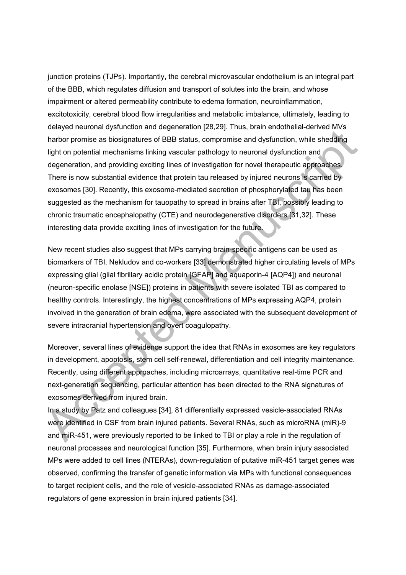between the constant in the generation and over coasing interior (exception and comparison in the system and dysfunction, while sheedding light on potential mechanisms linking vascular pathology to neuronal dysfunction and junction proteins (TJPs). Importantly, the cerebral microvascular endothelium is an integral part of the BBB, which regulates diffusion and transport of solutes into the brain, and whose impairment or altered permeability contribute to edema formation, neuroinflammation, excitotoxicity, cerebral blood flow irregularities and metabolic imbalance, ultimately, leading to delayed neuronal dysfunction and degeneration [28,29]. Thus, brain endothelial-derived MVs harbor promise as biosignatures of BBB status, compromise and dysfunction, while shedding light on potential mechanisms linking vascular pathology to neuronal dysfunction and degeneration, and providing exciting lines of investigation for novel therapeutic approaches. There is now substantial evidence that protein tau released by injured neurons is carried by exosomes [30]. Recently, this exosome-mediated secretion of phosphorylated tau has been suggested as the mechanism for tauopathy to spread in brains after TBI, possibly leading to chronic traumatic encephalopathy (CTE) and neurodegenerative disorders [31,32]. These interesting data provide exciting lines of investigation for the future.

New recent studies also suggest that MPs carrying brain-specific antigens can be used as biomarkers of TBI. Nekludov and co-workers [33] demonstrated higher circulating levels of MPs expressing glial (glial fibrillary acidic protein [GFAP] and aquaporin-4 [AQP4]) and neuronal (neuron-specific enolase [NSE]) proteins in patients with severe isolated TBI as compared to healthy controls. Interestingly, the highest concentrations of MPs expressing AQP4, protein involved in the generation of brain edema, were associated with the subsequent development of severe intracranial hypertension and overt coagulopathy.

Moreover, several lines of evidence support the idea that RNAs in exosomes are key regulators in development, apoptosis, stem cell self-renewal, differentiation and cell integrity maintenance. Recently, using different approaches, including microarrays, quantitative real-time PCR and next-generation sequencing, particular attention has been directed to the RNA signatures of exosomes derived from injured brain.

In a study by Patz and colleagues [34], 81 differentially expressed vesicle-associated RNAs were identified in CSF from brain injured patients. Several RNAs, such as microRNA (miR)-9 and miR-451, were previously reported to be linked to TBI or play a role in the regulation of neuronal processes and neurological function [35]. Furthermore, when brain injury associated MPs were added to cell lines (NTERAs), down-regulation of putative miR-451 target genes was observed, confirming the transfer of genetic information via MPs with functional consequences to target recipient cells, and the role of vesicle-associated RNAs as damage-associated regulators of gene expression in brain injured patients [34].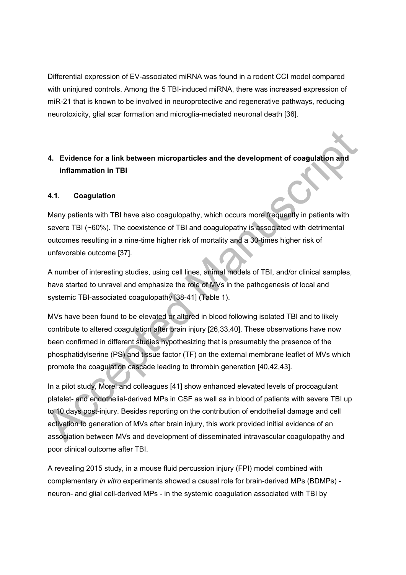Differential expression of EV-associated miRNA was found in a rodent CCI model compared with uninjured controls. Among the 5 TBI-induced miRNA, there was increased expression of miR-21 that is known to be involved in neuroprotective and regenerative pathways, reducing neurotoxicity, glial scar formation and microglia-mediated neuronal death [36].

# **4. Evidence for a link between microparticles and the development of coagulation and inflammation in TBI**

# **4.1. Coagulation**

Many patients with TBI have also coagulopathy, which occurs more frequently in patients with severe TBI (~60%). The coexistence of TBI and coagulopathy is associated with detrimental outcomes resulting in a nine-time higher risk of mortality and a 30-times higher risk of unfavorable outcome [37].

A number of interesting studies, using cell lines, animal models of TBI, and/or clinical samples, have started to unravel and emphasize the role of MVs in the pathogenesis of local and systemic TBI-associated coagulopathy [38-41] (Table 1).

MVs have been found to be elevated or altered in blood following isolated TBI and to likely contribute to altered coagulation after brain injury [26,33,40]. These observations have now been confirmed in different studies hypothesizing that is presumably the presence of the phosphatidylserine (PS) and tissue factor (TF) on the external membrane leaflet of MVs which promote the coagulation cascade leading to thrombin generation [40,42,43].

4. Evidence for a link between microparticles and the development of coagulation and<br>inflammation in TBI<br>Accepted Manuscriptic and the development of coagulation and<br>Act. Coagulation<br>Many patients with TBI have also coagu In a pilot study, Morel and colleagues [41] show enhanced elevated levels of procoagulant platelet- and endothelial-derived MPs in CSF as well as in blood of patients with severe TBI up to 10 days post-injury. Besides reporting on the contribution of endothelial damage and cell activation to generation of MVs after brain injury, this work provided initial evidence of an association between MVs and development of disseminated intravascular coagulopathy and poor clinical outcome after TBI.

A revealing 2015 study, in a mouse fluid percussion injury (FPI) model combined with complementary *in vitro* experiments showed a causal role for brain-derived MPs (BDMPs) neuron- and glial cell-derived MPs - in the systemic coagulation associated with TBI by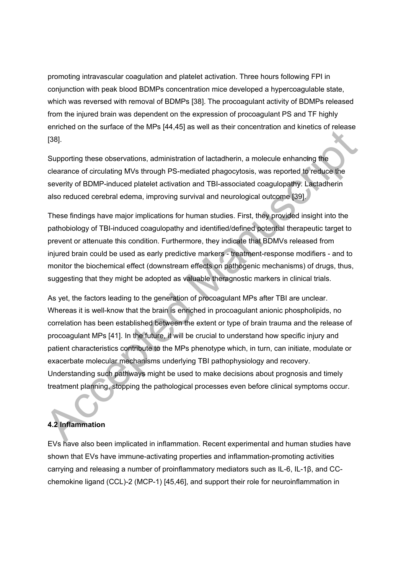promoting intravascular coagulation and platelet activation. Three hours following FPI in conjunction with peak blood BDMPs concentration mice developed a hypercoagulable state, which was reversed with removal of BDMPs [38]. The procoagulant activity of BDMPs released from the injured brain was dependent on the expression of procoagulant PS and TF highly enriched on the surface of the MPs [44,45] as well as their concentration and kinetics of release [38].

Supporting these observations, administration of lactadherin, a molecule enhancing the clearance of circulating MVs through PS-mediated phagocytosis, was reported to reduce the severity of BDMP-induced platelet activation and TBI-associated coagulopathy. Lactadherin also reduced cerebral edema, improving survival and neurological outcome [39].

These findings have major implications for human studies. First, they provided insight into the pathobiology of TBI-induced coagulopathy and identified/defined potential therapeutic target to prevent or attenuate this condition. Furthermore, they indicate that BDMVs released from injured brain could be used as early predictive markers - treatment-response modifiers - and to monitor the biochemical effect (downstream effects on pathogenic mechanisms) of drugs, thus, suggesting that they might be adopted as valuable theragnostic markers in clinical trials.

entropies of the band of the state of the Manuscript of the Manuscript of the Manuscript of the Manuscript of the Second Caster of circulating MVs through PS-mediated phagocytosis, was reported to reduce the severity of BD As yet, the factors leading to the generation of procoagulant MPs after TBI are unclear. Whereas it is well-know that the brain is enriched in procoagulant anionic phospholipids, no correlation has been established between the extent or type of brain trauma and the release of procoagulant MPs [41]. In the future, it will be crucial to understand how specific injury and patient characteristics contribute to the MPs phenotype which, in turn, can initiate, modulate or exacerbate molecular mechanisms underlying TBI pathophysiology and recovery. Understanding such pathways might be used to make decisions about prognosis and timely treatment planning, stopping the pathological processes even before clinical symptoms occur.

# **4.2 Inflammation**

EVs have also been implicated in inflammation. Recent experimental and human studies have shown that EVs have immune-activating properties and inflammation-promoting activities carrying and releasing a number of proinflammatory mediators such as IL-6, IL-1β, and CCchemokine ligand (CCL)-2 (MCP-1) [45,46], and support their role for neuroinflammation in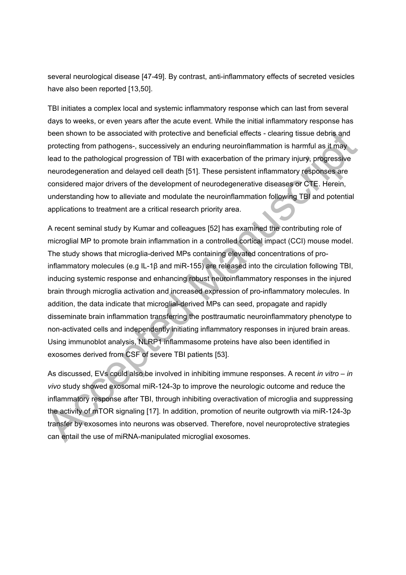several neurological disease [47-49]. By contrast, anti-inflammatory effects of secreted vesicles have also been reported [13,50].

TBI initiates a complex local and systemic inflammatory response which can last from several days to weeks, or even years after the acute event. While the initial inflammatory response has been shown to be associated with protective and beneficial effects - clearing tissue debris and protecting from pathogens-, successively an enduring neuroinflammation is harmful as it may lead to the pathological progression of TBI with exacerbation of the primary injury, progressive neurodegeneration and delayed cell death [51]. These persistent inflammatory responses are considered major drivers of the development of neurodegenerative diseases or CTE. Herein, understanding how to alleviate and modulate the neuroinflammation following TBI and potential applications to treatment are a critical research priority area.

been shown to be associated with protective and beneficial effects - clearing tissue debris and<br>protecting from patiogens-, successively an enduring neuroinflammation is harmlul as it may<br>lead to the pathological progressi A recent seminal study by Kumar and colleagues [52] has examined the contributing role of microglial MP to promote brain inflammation in a controlled cortical impact (CCI) mouse model. The study shows that microglia-derived MPs containing elevated concentrations of proinflammatory molecules (e.g IL-1β and miR-155) are released into the circulation following TBI, inducing systemic response and enhancing robust neuroinflammatory responses in the injured brain through microglia activation and increased expression of pro-inflammatory molecules. In addition, the data indicate that microglial-derived MPs can seed, propagate and rapidly disseminate brain inflammation transferring the posttraumatic neuroinflammatory phenotype to non-activated cells and independently initiating inflammatory responses in injured brain areas. Using immunoblot analysis, NLRP1 inflammasome proteins have also been identified in exosomes derived from CSF of severe TBI patients [53].

As discussed, EVs could also be involved in inhibiting immune responses. A recent *in vitro* – *in vivo* study showed exosomal miR-124-3p to improve the neurologic outcome and reduce the inflammatory response after TBI, through inhibiting overactivation of microglia and suppressing the activity of mTOR signaling [17]. In addition, promotion of neurite outgrowth via miR-124-3p transfer by exosomes into neurons was observed. Therefore, novel neuroprotective strategies can entail the use of miRNA-manipulated microglial exosomes.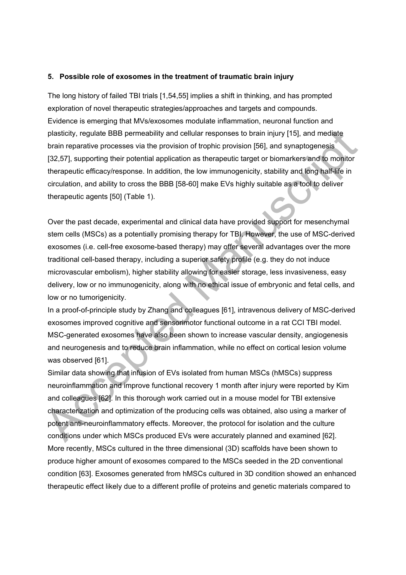#### **5. Possible role of exosomes in the treatment of traumatic brain injury**

The long history of failed TBI trials [1,54,55] implies a shift in thinking, and has prompted exploration of novel therapeutic strategies/approaches and targets and compounds. Evidence is emerging that MVs/exosomes modulate inflammation, neuronal function and plasticity, regulate BBB permeability and cellular responses to brain injury [15], and mediate brain reparative processes via the provision of trophic provision [56], and synaptogenesis [32,57], supporting their potential application as therapeutic target or biomarkers and to monitor therapeutic efficacy/response. In addition, the low immunogenicity, stability and long half-life in circulation, and ability to cross the BBB [58-60] make EVs highly suitable as a tool to deliver therapeutic agents [50] (Table 1).

plasticity, regulate BBB permeability and cellular responses to brain injury [15], and mediate<br>
brain reparative processes via the provision of trophic provision [66], and synaptogenesis<br>
[32.57], supporting their potentia Over the past decade, experimental and clinical data have provided support for mesenchymal stem cells (MSCs) as a potentially promising therapy for TBI. However, the use of MSC-derived exosomes (i.e. cell-free exosome-based therapy) may offer several advantages over the more traditional cell-based therapy, including a superior safety profile (e.g. they do not induce microvascular embolism), higher stability allowing for easier storage, less invasiveness, easy delivery, low or no immunogenicity, along with no ethical issue of embryonic and fetal cells, and low or no tumorigenicity.

In a proof-of-principle study by Zhang and colleagues [61], intravenous delivery of MSC-derived exosomes improved cognitive and sensorimotor functional outcome in a rat CCI TBI model. MSC-generated exosomes have also been shown to increase vascular density, angiogenesis and neurogenesis and to reduce brain inflammation, while no effect on cortical lesion volume was observed [61].

Similar data showing that infusion of EVs isolated from human MSCs (hMSCs) suppress neuroinflammation and improve functional recovery 1 month after injury were reported by Kim and colleagues [62]. In this thorough work carried out in a mouse model for TBI extensive characterization and optimization of the producing cells was obtained, also using a marker of potent anti-neuroinflammatory effects. Moreover, the protocol for isolation and the culture conditions under which MSCs produced EVs were accurately planned and examined [62]. More recently, MSCs cultured in the three dimensional (3D) scaffolds have been shown to produce higher amount of exosomes compared to the MSCs seeded in the 2D conventional condition [63]. Exosomes generated from hMSCs cultured in 3D condition showed an enhanced therapeutic effect likely due to a different profile of proteins and genetic materials compared to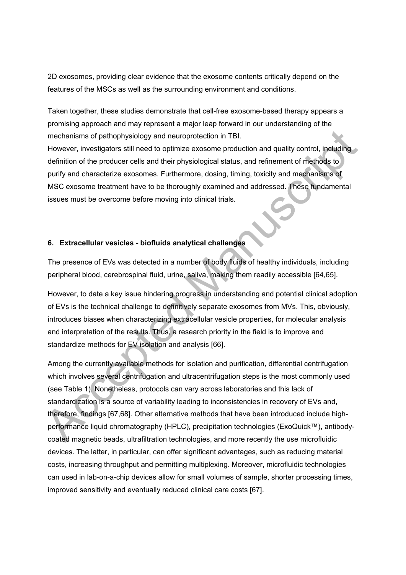2D exosomes, providing clear evidence that the exosome contents critically depend on the features of the MSCs as well as the surrounding environment and conditions.

Taken together, these studies demonstrate that cell-free exosome-based therapy appears a promising approach and may represent a major leap forward in our understanding of the mechanisms of pathophysiology and neuroprotection in TBI.

However, investigators still need to optimize exosome production and quality control, including definition of the producer cells and their physiological status, and refinement of methods to purify and characterize exosomes. Furthermore, dosing, timing, toxicity and mechanisms of MSC exosome treatment have to be thoroughly examined and addressed. These fundamental issues must be overcome before moving into clinical trials.

# **6. Extracellular vesicles - biofluids analytical challenges**

The presence of EVs was detected in a number of body fluids of healthy individuals, including peripheral blood, cerebrospinal fluid, urine, saliva, making them readily accessible [64,65].

However, to date a key issue hindering progress in understanding and potential clinical adoption of EVs is the technical challenge to definitively separate exosomes from MVs. This, obviously, introduces biases when characterizing extracellular vesicle properties, for molecular analysis and interpretation of the results. Thus, a research priority in the field is to improve and standardize methods for EV isolation and analysis [66].

mechanisms of pathophysiology and neuroprotection in TBI.<br>
However, investigators still need to optimize exosome production and quality control, including<br>
definition of the producer cells and their physiological status, a Among the currently available methods for isolation and purification, differential centrifugation which involves several centrifugation and ultracentrifugation steps is the most commonly used (see Table 1). Nonetheless, protocols can vary across laboratories and this lack of standardization is a source of variability leading to inconsistencies in recovery of EVs and, therefore, findings [67,68]. Other alternative methods that have been introduced include highperformance liquid chromatography (HPLC), precipitation technologies (ExoQuick™), antibodycoated magnetic beads, ultrafiltration technologies, and more recently the use microfluidic devices. The latter, in particular, can offer significant advantages, such as reducing material costs, increasing throughput and permitting multiplexing. Moreover, microfluidic technologies can used in lab-on-a-chip devices allow for small volumes of sample, shorter processing times, improved sensitivity and eventually reduced clinical care costs [67].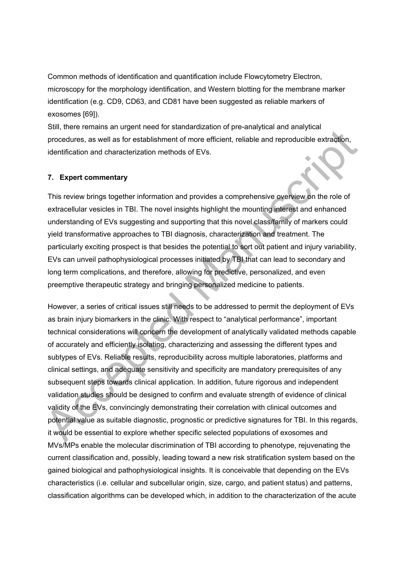Common methods of identification and quantification include Flowcytometry Electron, microscopy for the morphology identification, and Western blotting for the membrane marker identification (e.g. CD9, CD63, and CD81 have been suggested as reliable markers of exosomes [69]).

Still, there remains an urgent need for standardization of pre-analytical and analytical procedures, as well as for establishment of more efficient, reliable and reproducible extraction, identification and characterization methods of EVs.

### **7. Expert commentary**

This review brings together information and provides a comprehensive overview on the role of extracellular vesicles in TBI. The novel insights highlight the mounting interest and enhanced understanding of EVs suggesting and supporting that this novel class/family of markers could yield transformative approaches to TBI diagnosis, characterization and treatment. The particularly exciting prospect is that besides the potential to sort out patient and injury variability, EVs can unveil pathophysiological processes initiated by TBI that can lead to secondary and long term complications, and therefore, allowing for predictive, personalized, and even preemptive therapeutic strategy and bringing personalized medicine to patients.

one where the manufacture of the manufacture of the manufacture of the system and the secondary of the EVs.<br>
The recedures, as well as for establishment of more efficient, reliable and reproducible extraction,<br>
16entificat However, a series of critical issues still needs to be addressed to permit the deployment of EVs as brain injury biomarkers in the clinic. With respect to "analytical performance", important technical considerations will concern the development of analytically validated methods capable of accurately and efficiently isolating, characterizing and assessing the different types and subtypes of EVs. Reliable results, reproducibility across multiple laboratories, platforms and clinical settings, and adequate sensitivity and specificity are mandatory prerequisites of any subsequent steps towards clinical application. In addition, future rigorous and independent validation studies should be designed to confirm and evaluate strength of evidence of clinical validity of the EVs, convincingly demonstrating their correlation with clinical outcomes and potential value as suitable diagnostic, prognostic or predictive signatures for TBI. In this regards, it would be essential to explore whether specific selected populations of exosomes and MVs/MPs enable the molecular discrimination of TBI according to phenotype, rejuvenating the current classification and, possibly, leading toward a new risk stratification system based on the gained biological and pathophysiological insights. It is conceivable that depending on the EVs characteristics (i.e. cellular and subcellular origin, size, cargo, and patient status) and patterns, classification algorithms can be developed which, in addition to the characterization of the acute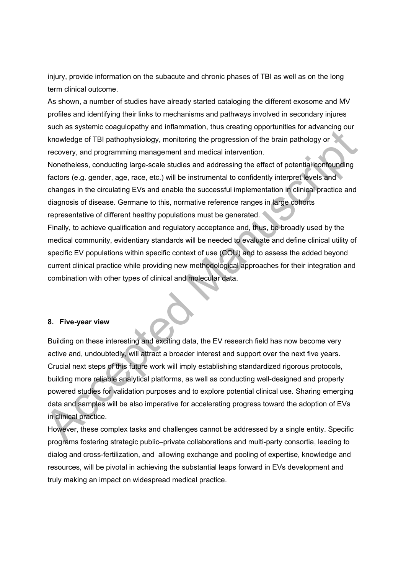injury, provide information on the subacute and chronic phases of TBI as well as on the long term clinical outcome.

As shown, a number of studies have already started cataloging the different exosome and MV profiles and identifying their links to mechanisms and pathways involved in secondary injures such as systemic coagulopathy and inflammation, thus creating opportunities for advancing our knowledge of TBI pathophysiology, monitoring the progression of the brain pathology or recovery, and programming management and medical intervention.

Nonetheless, conducting large-scale studies and addressing the effect of potential confounding factors (e.g. gender, age, race, etc.) will be instrumental to confidently interpret levels and changes in the circulating EVs and enable the successful implementation in clinical practice and diagnosis of disease. Germane to this, normative reference ranges in large cohorts representative of different healthy populations must be generated.

Finally, to achieve qualification and regulatory acceptance and, thus, be broadly used by the medical community, evidentiary standards will be needed to evaluate and define clinical utility of specific EV populations within specific context of use (COU) and to assess the added beyond current clinical practice while providing new methodological approaches for their integration and combination with other types of clinical and molecular data.

#### **8. Five-year view**

boxious diversion consideration and membersion of the brain pathology or the brain pathology or the brain pathology or the brain pathology or the brain pathology or the brain pathology or the brain pathology or the brain p Building on these interesting and exciting data, the EV research field has now become very active and, undoubtedly, will attract a broader interest and support over the next five years. Crucial next steps of this future work will imply establishing standardized rigorous protocols, building more reliable analytical platforms, as well as conducting well-designed and properly powered studies for validation purposes and to explore potential clinical use. Sharing emerging data and samples will be also imperative for accelerating progress toward the adoption of EVs in clinical practice.

However, these complex tasks and challenges cannot be addressed by a single entity. Specific programs fostering strategic public–private collaborations and multi-party consortia, leading to dialog and cross-fertilization, and allowing exchange and pooling of expertise, knowledge and resources, will be pivotal in achieving the substantial leaps forward in EVs development and truly making an impact on widespread medical practice.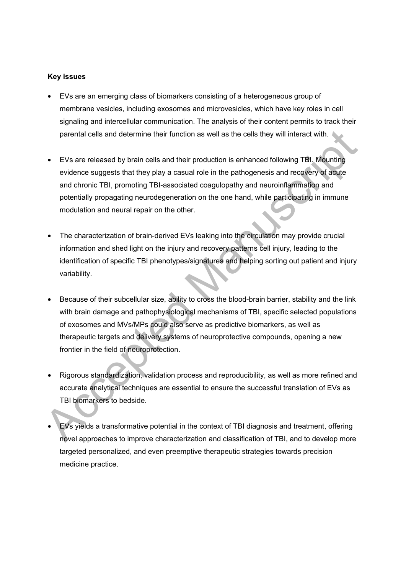#### **Key issues**

- EVs are an emerging class of biomarkers consisting of a heterogeneous group of membrane vesicles, including exosomes and microvesicles, which have key roles in cell signaling and intercellular communication. The analysis of their content permits to track their parental cells and determine their function as well as the cells they will interact with.
- EVs are released by brain cells and their production is enhanced following TBI. Mounting evidence suggests that they play a casual role in the pathogenesis and recovery of acute and chronic TBI, promoting TBI-associated coagulopathy and neuroinflammation and potentially propagating neurodegeneration on the one hand, while participating in immune modulation and neural repair on the other.
- The characterization of brain-derived EVs leaking into the circulation may provide crucial information and shed light on the injury and recovery patterns cell injury, leading to the identification of specific TBI phenotypes/signatures and helping sorting out patient and injury variability.
- parental cells and determine their function as well as the cells they will interact with.<br>
 EVs are released by brain cells and their production is enhanced following TBI. Mounting<br>
 evidence suggests that they play a c • Because of their subcellular size, ability to cross the blood-brain barrier, stability and the link with brain damage and pathophysiological mechanisms of TBI, specific selected populations of exosomes and MVs/MPs could also serve as predictive biomarkers, as well as therapeutic targets and delivery systems of neuroprotective compounds, opening a new frontier in the field of neuroprotection.
	- Rigorous standardization, validation process and reproducibility, as well as more refined and accurate analytical techniques are essential to ensure the successful translation of EVs as TBI biomarkers to bedside.
	- EVs yields a transformative potential in the context of TBI diagnosis and treatment, offering novel approaches to improve characterization and classification of TBI, and to develop more targeted personalized, and even preemptive therapeutic strategies towards precision medicine practice.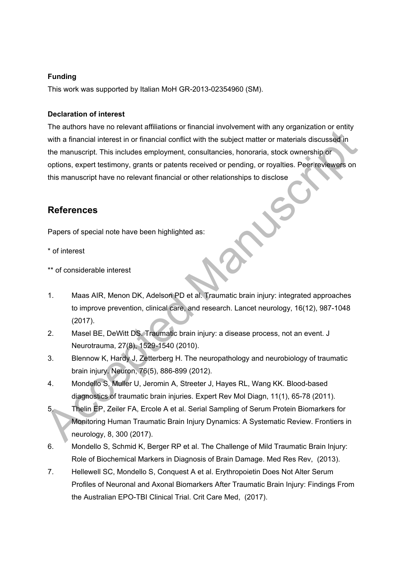### **Funding**

This work was supported by Italian MoH GR-2013-02354960 (SM).

#### **Declaration of interest**

From the manuscript This includes the financial conflict with the subject matter or materials discussed in<br>the manuscript. This includes employment, consultancies, honoraria, stock ownership or<br>options, expert testimony, g The authors have no relevant affiliations or financial involvement with any organization or entity with a financial interest in or financial conflict with the subject matter or materials discussed in the manuscript. This includes employment, consultancies, honoraria, stock ownership or options, expert testimony, grants or patents received or pending, or royalties. Peer reviewers on this manuscript have no relevant financial or other relationships to disclose

# **References**

Papers of special note have been highlighted as:

- \* of interest
- \*\* of considerable interest
- 1. Maas AIR, Menon DK, Adelson PD et al. Traumatic brain injury: integrated approaches to improve prevention, clinical care, and research. Lancet neurology, 16(12), 987-1048 (2017).
- 2. Masel BE, DeWitt DS. Traumatic brain injury: a disease process, not an event. J Neurotrauma, 27(8), 1529-1540 (2010).
- 3. Blennow K, Hardy J, Zetterberg H. The neuropathology and neurobiology of traumatic brain injury. Neuron, 76(5), 886-899 (2012).
- 4. Mondello S, Muller U, Jeromin A, Streeter J, Hayes RL, Wang KK. Blood-based diagnostics of traumatic brain injuries. Expert Rev Mol Diagn, 11(1), 65-78 (2011).
- 5. Thelin EP, Zeiler FA, Ercole A et al. Serial Sampling of Serum Protein Biomarkers for Monitoring Human Traumatic Brain Injury Dynamics: A Systematic Review. Frontiers in neurology, 8, 300 (2017).
- 6. Mondello S, Schmid K, Berger RP et al. The Challenge of Mild Traumatic Brain Injury: Role of Biochemical Markers in Diagnosis of Brain Damage. Med Res Rev, (2013).
- 7. Hellewell SC, Mondello S, Conquest A et al. Erythropoietin Does Not Alter Serum Profiles of Neuronal and Axonal Biomarkers After Traumatic Brain Injury: Findings From the Australian EPO-TBI Clinical Trial. Crit Care Med, (2017).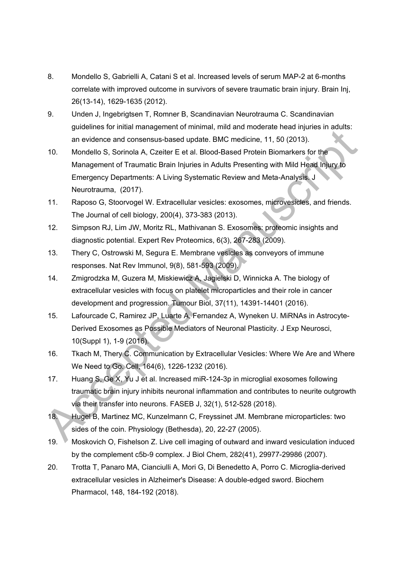- 8. Mondello S, Gabrielli A, Catani S et al. Increased levels of serum MAP-2 at 6-months correlate with improved outcome in survivors of severe traumatic brain injury. Brain Inj, 26(13-14), 1629-1635 (2012).
- 9. Unden J, Ingebrigtsen T, Romner B, Scandinavian Neurotrauma C. Scandinavian guidelines for initial management of minimal, mild and moderate head injuries in adults: an evidence and consensus-based update. BMC medicine, 11, 50 (2013).
- and evident manuative the minimal measurement of Theorem and Consensus-based update. BMC medicine, 11, 50 (2013).<br>
10. Mondello S, Sorinola A, Czelter E et al. Blood-Based Protein Biomarkers for the<br>
Management of Traumati 10. Mondello S, Sorinola A, Czeiter E et al. Blood-Based Protein Biomarkers for the Management of Traumatic Brain Injuries in Adults Presenting with Mild Head Injury to Emergency Departments: A Living Systematic Review and Meta-Analysis. J Neurotrauma, (2017).
	- 11. Raposo G, Stoorvogel W. Extracellular vesicles: exosomes, microvesicles, and friends. The Journal of cell biology, 200(4), 373-383 (2013).
	- 12. Simpson RJ, Lim JW, Moritz RL, Mathivanan S. Exosomes: proteomic insights and diagnostic potential. Expert Rev Proteomics, 6(3), 267-283 (2009).
	- 13. Thery C, Ostrowski M, Segura E. Membrane vesicles as conveyors of immune responses. Nat Rev Immunol, 9(8), 581-593 (2009).
	- 14. Zmigrodzka M, Guzera M, Miskiewicz A, Jagielski D, Winnicka A. The biology of extracellular vesicles with focus on platelet microparticles and their role in cancer development and progression. Tumour Biol, 37(11), 14391-14401 (2016).
	- 15. Lafourcade C, Ramirez JP, Luarte A, Fernandez A, Wyneken U. MiRNAs in Astrocyte-Derived Exosomes as Possible Mediators of Neuronal Plasticity. J Exp Neurosci, 10(Suppl 1), 1-9 (2016).
	- 16. Tkach M, Thery C. Communication by Extracellular Vesicles: Where We Are and Where We Need to Go. Cell, 164(6), 1226-1232 (2016).
	- 17. Huang S, Ge X, Yu J et al. Increased miR-124-3p in microglial exosomes following traumatic brain injury inhibits neuronal inflammation and contributes to neurite outgrowth via their transfer into neurons. FASEB J, 32(1), 512-528 (2018).
	- 18. Hugel B, Martinez MC, Kunzelmann C, Freyssinet JM. Membrane microparticles: two sides of the coin. Physiology (Bethesda), 20, 22-27 (2005).
	- 19. Moskovich O, Fishelson Z. Live cell imaging of outward and inward vesiculation induced by the complement c5b-9 complex. J Biol Chem, 282(41), 29977-29986 (2007).
- 20. Trotta T, Panaro MA, Cianciulli A, Mori G, Di Benedetto A, Porro C. Microglia-derived extracellular vesicles in Alzheimer's Disease: A double-edged sword. Biochem Pharmacol, 148, 184-192 (2018).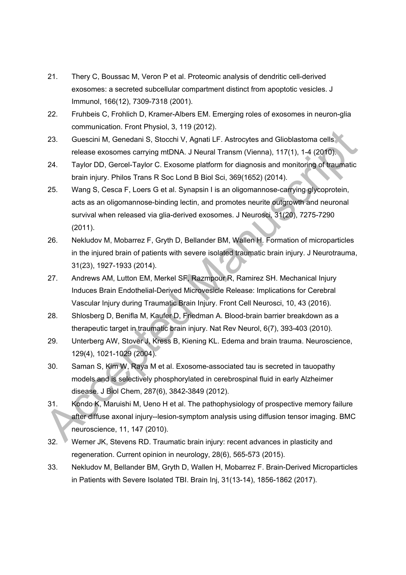- 21. Thery C, Boussac M, Veron P et al. Proteomic analysis of dendritic cell-derived exosomes: a secreted subcellular compartment distinct from apoptotic vesicles. J Immunol, 166(12), 7309-7318 (2001).
- 22. Fruhbeis C, Frohlich D, Kramer-Albers EM. Emerging roles of exosomes in neuron-glia communication. Front Physiol, 3, 119 (2012).
- 23. Guescini M, Genedani S, Stocchi V, Agnati LF. Astrocytes and Glioblastoma cells release exosomes carrying mtDNA. J Neural Transm (Vienna), 117(1), 1-4 (2010).
- 24. Taylor DD, Gercel-Taylor C. Exosome platform for diagnosis and monitoring of traumatic brain injury. Philos Trans R Soc Lond B Biol Sci, 369(1652) (2014).
- Consideration Financy and Cliential Transmit (Manuscript)<br>
23. Guescini M, Genedani S, Stochi V, Agnali LF. Astrocytes and Glioblastoma cells<br>
release exosomes carrying mtDNA. J Neural Transm (Vienna), 117(1), 1-4 (2010).<br> 25. Wang S, Cesca F, Loers G et al. Synapsin I is an oligomannose-carrying glycoprotein, acts as an oligomannose-binding lectin, and promotes neurite outgrowth and neuronal survival when released via glia-derived exosomes. J Neurosci, 31(20), 7275-7290 (2011).
- 26. Nekludov M, Mobarrez F, Gryth D, Bellander BM, Wallen H. Formation of microparticles in the injured brain of patients with severe isolated traumatic brain injury. J Neurotrauma, 31(23), 1927-1933 (2014).
- 27. Andrews AM, Lutton EM, Merkel SF, Razmpour R, Ramirez SH. Mechanical Injury Induces Brain Endothelial-Derived Microvesicle Release: Implications for Cerebral Vascular Injury during Traumatic Brain Injury. Front Cell Neurosci, 10, 43 (2016).
- 28. Shlosberg D, Benifla M, Kaufer D, Friedman A. Blood-brain barrier breakdown as a therapeutic target in traumatic brain injury. Nat Rev Neurol, 6(7), 393-403 (2010).
- 29. Unterberg AW, Stover J, Kress B, Kiening KL. Edema and brain trauma. Neuroscience, 129(4), 1021-1029 (2004).
- 30. Saman S, Kim W, Raya M et al. Exosome-associated tau is secreted in tauopathy models and is selectively phosphorylated in cerebrospinal fluid in early Alzheimer disease. J Biol Chem, 287(6), 3842-3849 (2012).
- 31. Kondo K, Maruishi M, Ueno H et al. The pathophysiology of prospective memory failure after diffuse axonal injury--lesion-symptom analysis using diffusion tensor imaging. BMC neuroscience, 11, 147 (2010).
- 32. Werner JK, Stevens RD. Traumatic brain injury: recent advances in plasticity and regeneration. Current opinion in neurology, 28(6), 565-573 (2015).
- 33. Nekludov M, Bellander BM, Gryth D, Wallen H, Mobarrez F. Brain-Derived Microparticles in Patients with Severe Isolated TBI. Brain Inj, 31(13-14), 1856-1862 (2017).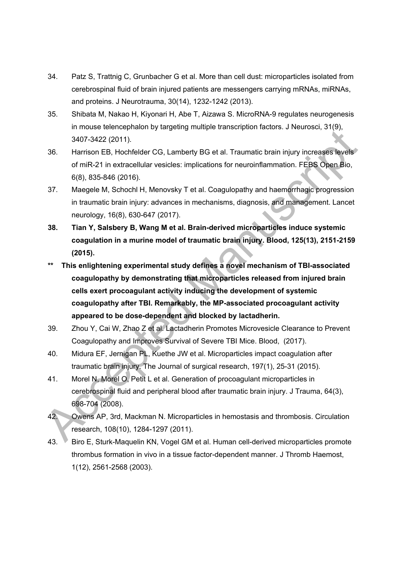- 34. Patz S, Trattnig C, Grunbacher G et al. More than cell dust: microparticles isolated from cerebrospinal fluid of brain injured patients are messengers carrying mRNAs, miRNAs, and proteins. J Neurotrauma, 30(14), 1232-1242 (2013).
- 35. Shibata M, Nakao H, Kiyonari H, Abe T, Aizawa S. MicroRNA-9 regulates neurogenesis in mouse telencephalon by targeting multiple transcription factors. J Neurosci, 31(9), 3407-3422 (2011).
- 36. Harrison EB, Hochfelder CG, Lamberty BG et al. Traumatic brain injury increases levels of miR-21 in extracellular vesicles: implications for neuroinflammation. FEBS Open Bio, 6(8), 835-846 (2016).
- 37. Maegele M, Schochl H, Menovsky T et al. Coagulopathy and haemorrhagic progression in traumatic brain injury: advances in mechanisms, diagnosis, and management. Lancet neurology, 16(8), 630-647 (2017).
- **38. Tian Y, Salsbery B, Wang M et al. Brain-derived microparticles induce systemic coagulation in a murine model of traumatic brain injury. Blood, 125(13), 2151-2159 (2015).**
- announce tenderation of the state of Generation Schemes and the state of mir-<br>
Advance and the state of mir-21 in extracellular vesicles: implications for neuroinfiammation. FEBS object of<br>
MR-21 in extracellular vesicles: **\*\* This enlightening experimental study defines a novel mechanism of TBI-associated coagulopathy by demonstrating that microparticles released from injured brain cells exert procoagulant activity inducing the development of systemic coagulopathy after TBI. Remarkably, the MP-associated procoagulant activity appeared to be dose-dependent and blocked by lactadherin.**
- 39. Zhou Y, Cai W, Zhao Z et al. Lactadherin Promotes Microvesicle Clearance to Prevent Coagulopathy and Improves Survival of Severe TBI Mice. Blood, (2017).
- 40. Midura EF, Jernigan PL, Kuethe JW et al. Microparticles impact coagulation after traumatic brain injury. The Journal of surgical research, 197(1), 25-31 (2015).
- 41. Morel N, Morel O, Petit L et al. Generation of procoagulant microparticles in cerebrospinal fluid and peripheral blood after traumatic brain injury. J Trauma, 64(3), 698-704 (2008).
- 42. Owens AP, 3rd, Mackman N. Microparticles in hemostasis and thrombosis. Circulation research, 108(10), 1284-1297 (2011).
- 43. Biro E, Sturk-Maquelin KN, Vogel GM et al. Human cell-derived microparticles promote thrombus formation in vivo in a tissue factor-dependent manner. J Thromb Haemost, 1(12), 2561-2568 (2003).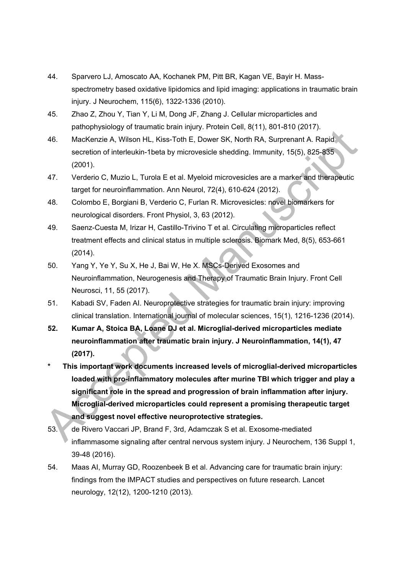- 44. Sparvero LJ, Amoscato AA, Kochanek PM, Pitt BR, Kagan VE, Bayir H. Massspectrometry based oxidative lipidomics and lipid imaging: applications in traumatic brain injury. J Neurochem, 115(6), 1322-1336 (2010).
- 45. Zhao Z, Zhou Y, Tian Y, Li M, Dong JF, Zhang J. Cellular microparticles and pathophysiology of traumatic brain injury. Protein Cell, 8(11), 801-810 (2017).
- 46. MacKenzie A, Wilson HL, Kiss-Toth E, Dower SK, North RA, Surprenant A. Rapid secretion of interleukin-1beta by microvesicle shedding. Immunity, 15(5), 825-835 (2001).
- 47. Verderio C, Muzio L, Turola E et al. Myeloid microvesicles are a marker and therapeutic target for neuroinflammation. Ann Neurol, 72(4), 610-624 (2012).
- 48. Colombo E, Borgiani B, Verderio C, Furlan R. Microvesicles: novel biomarkers for neurological disorders. Front Physiol, 3, 63 (2012).
- 49. Saenz-Cuesta M, Irizar H, Castillo-Trivino T et al. Circulating microparticles reflect treatment effects and clinical status in multiple sclerosis. Biomark Med, 8(5), 653-661 (2014).
- 50. Yang Y, Ye Y, Su X, He J, Bai W, He X. MSCs-Derived Exosomes and Neuroinflammation, Neurogenesis and Therapy of Traumatic Brain Injury. Front Cell Neurosci, 11, 55 (2017).
- 51. Kabadi SV, Faden AI. Neuroprotective strategies for traumatic brain injury: improving clinical translation. International journal of molecular sciences, 15(1), 1216-1236 (2014).
- **52. Kumar A, Stoica BA, Loane DJ et al. Microglial-derived microparticles mediate neuroinflammation after traumatic brain injury. J Neuroinflammation, 14(1), 47 (2017).**
- 46. MacKenzie A, Wilson HL, Kiss-Tolh E, Dower SK, North RA, Surpenant A, Rapid<br>secretion of interleukin-1beta by microvesicle shedding. Immunity, 15(5), 825-835<br>(2001).<br>Therefore, Muzio L, Turola E et al. Myeloid microve **\* This important work documents increased levels of microglial-derived microparticles loaded with pro-inflammatory molecules after murine TBI which trigger and play a significant role in the spread and progression of brain inflammation after injury. Microglial-derived microparticles could represent a promising therapeutic target and suggest novel effective neuroprotective strategies.** 
	- 53. de Rivero Vaccari JP, Brand F, 3rd, Adamczak S et al. Exosome-mediated inflammasome signaling after central nervous system injury. J Neurochem, 136 Suppl 1, 39-48 (2016).
- 54. Maas AI, Murray GD, Roozenbeek B et al. Advancing care for traumatic brain injury: findings from the IMPACT studies and perspectives on future research. Lancet neurology, 12(12), 1200-1210 (2013).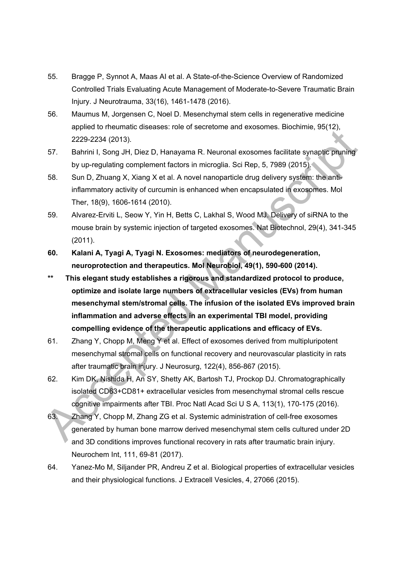- 55. Bragge P, Synnot A, Maas AI et al. A State-of-the-Science Overview of Randomized Controlled Trials Evaluating Acute Management of Moderate-to-Severe Traumatic Brain Injury. J Neurotrauma, 33(16), 1461-1478 (2016).
- 56. Maumus M, Jorgensen C, Noel D. Mesenchymal stem cells in regenerative medicine applied to rheumatic diseases: role of secretome and exosomes. Biochimie, 95(12), 2229-2234 (2013).
- 57. Bahrini I, Song JH, Diez D, Hanayama R. Neuronal exosomes facilitate synaptic pruning by up-regulating complement factors in microglia. Sci Rep, 5, 7989 (2015).
- 58. Sun D, Zhuang X, Xiang X et al. A novel nanoparticle drug delivery system: the antiinflammatory activity of curcumin is enhanced when encapsulated in exosomes. Mol Ther, 18(9), 1606-1614 (2010).
- 59. Alvarez-Erviti L, Seow Y, Yin H, Betts C, Lakhal S, Wood MJ. Delivery of siRNA to the mouse brain by systemic injection of targeted exosomes. Nat Biotechnol, 29(4), 341-345 (2011).
- **60. Kalani A, Tyagi A, Tyagi N. Exosomes: mediators of neurodegeneration, neuroprotection and therapeutics. Mol Neurobiol, 49(1), 590-600 (2014).**
- 2229-2234 (2011).<br>
2229-2234 (2013).<br>
2229-2234 (2013).<br>
57. Bahrini I, Song JH, Diez D, Hanayama R. Neuronal exosones facilitate synaptic pruning<br>
by up-regulating complement factors in intrograins. Gid Rep. 5, 7989 (2015 **\*\* This elegant study establishes a rigorous and standardized protocol to produce, optimize and isolate large numbers of extracellular vesicles (EVs) from human mesenchymal stem/stromal cells. The infusion of the isolated EVs improved brain inflammation and adverse effects in an experimental TBI model, providing compelling evidence of the therapeutic applications and efficacy of EVs.**
- 61. Zhang Y, Chopp M, Meng Y et al. Effect of exosomes derived from multipluripotent mesenchymal stromal cells on functional recovery and neurovascular plasticity in rats after traumatic brain injury. J Neurosurg, 122(4), 856-867 (2015).
- 62. Kim DK, Nishida H, An SY, Shetty AK, Bartosh TJ, Prockop DJ. Chromatographically isolated CD63+CD81+ extracellular vesicles from mesenchymal stromal cells rescue cognitive impairments after TBI. Proc Natl Acad Sci U S A, 113(1), 170-175 (2016).
- 63. Zhang Y, Chopp M, Zhang ZG et al. Systemic administration of cell-free exosomes generated by human bone marrow derived mesenchymal stem cells cultured under 2D and 3D conditions improves functional recovery in rats after traumatic brain injury. Neurochem Int, 111, 69-81 (2017).
- 64. Yanez-Mo M, Siljander PR, Andreu Z et al. Biological properties of extracellular vesicles and their physiological functions. J Extracell Vesicles, 4, 27066 (2015).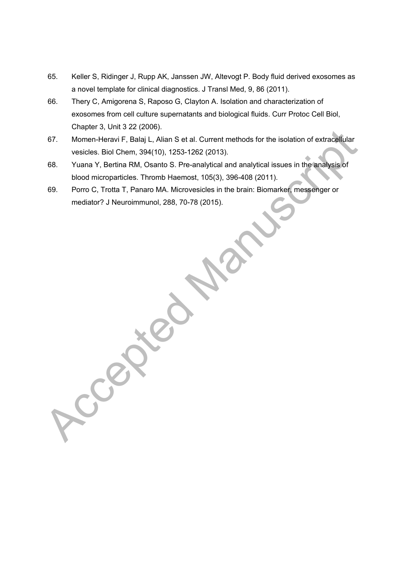- 65. Keller S, Ridinger J, Rupp AK, Janssen JW, Altevogt P. Body fluid derived exosomes as a novel template for clinical diagnostics. J Transl Med, 9, 86 (2011).
- 66. Thery C, Amigorena S, Raposo G, Clayton A. Isolation and characterization of exosomes from cell culture supernatants and biological fluids. Curr Protoc Cell Biol, Chapter 3, Unit 3 22 (2006).
- 67. Momen-Heravi F, Balaj L, Alian S et al. Current methods for the isolation of extracellular vesicles. Biol Chem, 394(10), 1253-1262 (2013).
- 68. Yuana Y, Bertina RM, Osanto S. Pre-analytical and analytical issues in the analysis of blood microparticles. Thromb Haemost, 105(3), 396-408 (2011).
- 69. Porro C, Trotta T, Panaro MA. Microvesicles in the brain: Biomarker, messenger or mediator? J Neuroimmunol, 288, 70-78 (2015).

Francisco, Manuscript, Data Setal, Current methods for the isolation of extracellular<br>vesicles. Biol Chem, 394(10), 1253-1262 (2013).<br>Accepted Manuscriptic and analytical issues in the analysis of<br>blood microparticles. Thr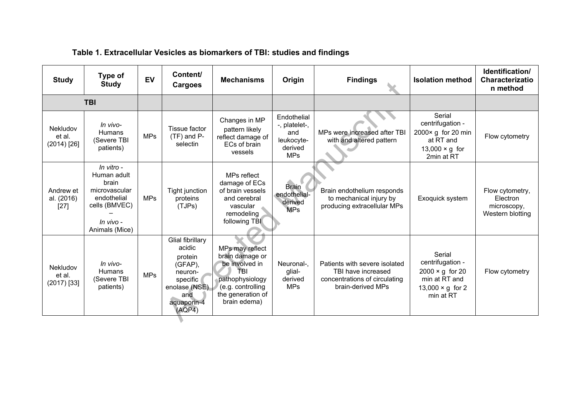| Table 1. Extracellular Vesicles as biomarkers of TBI: studies and findings |                                                                                                                    |            |                                                                                                                          |                                                                                                                                          |                                                                            |                                                                                                           |                                                                                                               |                                                                |  |
|----------------------------------------------------------------------------|--------------------------------------------------------------------------------------------------------------------|------------|--------------------------------------------------------------------------------------------------------------------------|------------------------------------------------------------------------------------------------------------------------------------------|----------------------------------------------------------------------------|-----------------------------------------------------------------------------------------------------------|---------------------------------------------------------------------------------------------------------------|----------------------------------------------------------------|--|
| <b>Study</b>                                                               | Type of<br><b>Study</b>                                                                                            | <b>EV</b>  | Content/<br>Cargoes                                                                                                      | <b>Mechanisms</b>                                                                                                                        | Origin                                                                     | <b>Findings</b>                                                                                           | <b>Isolation method</b>                                                                                       | Identification/<br>Characterizatio<br>n method                 |  |
|                                                                            | <b>TBI</b>                                                                                                         |            |                                                                                                                          |                                                                                                                                          |                                                                            |                                                                                                           |                                                                                                               |                                                                |  |
| Nekludov<br>et al.<br>$(2014)$ [26]                                        | In vivo-<br><b>Humans</b><br>(Severe TBI<br>patients)                                                              | <b>MPs</b> | Tissue factor<br>$(TF)$ and P-<br>selectin                                                                               | Changes in MP<br>pattern likely<br>reflect damage of<br>ECs of brain<br>vessels                                                          | Endothelial<br>-, platelet-,<br>and<br>leukocyte-<br>derived<br><b>MPs</b> | MPs were increased after TBI<br>with and altered pattern                                                  | Serial<br>centrifugation -<br>2000× g for 20 min<br>at RT and<br>13,000 $\times$ g for<br>2min at RT          | Flow cytometry                                                 |  |
| Andrew et<br>al. (2016)<br>$[27]$                                          | In vitro -<br>Human adult<br>brain<br>microvascular<br>endothelial<br>cells (BMVEC)<br>In vivo -<br>Animals (Mice) | <b>MPs</b> | <b>Tight junction</b><br>proteins<br>(TJPs)                                                                              | MPs reflect<br>damage of ECs<br>of brain vessels<br>and cerebral<br>vascular<br>remodeling<br>following TBI                              | <b>Brain</b><br>endothelial-<br>derived<br><b>MPs</b>                      | Brain endothelium responds<br>to mechanical injury by<br>producing extracellular MPs                      | Exoquick system                                                                                               | Flow cytometry,<br>Electron<br>microscopy,<br>Western blotting |  |
| Nekludov<br>et al.<br>$(2017)$ [33]                                        | In vivo-<br>Humans<br>(Severe TBI<br>patients)                                                                     | <b>MPs</b> | Glial fibrillary<br>acidic<br>protein<br>(GFAP),<br>neuron-<br>specific<br>enolase (NSE)<br>and<br>aquaporin-4<br>(AQP4) | MPs may reflect<br>brain damage or<br>be involved in<br>TRI<br>pathophysiology<br>(e.g. controlling<br>the generation of<br>brain edema) | Neuronal-,<br>glial-<br>derived<br><b>MPs</b>                              | Patients with severe isolated<br>TBI have increased<br>concentrations of circulating<br>brain-derived MPs | Serial<br>centrifugation -<br>$2000 \times g$ for 20<br>min at RT and<br>13,000 $\times$ g for 2<br>min at RT | Flow cytometry                                                 |  |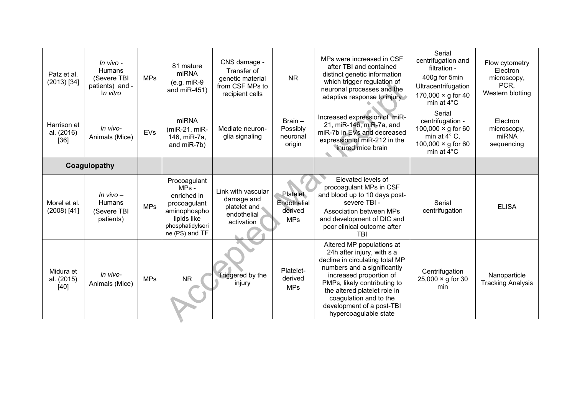| Patz et al.<br>$(2013)$ [34]        | In vivo -<br><b>Humans</b><br>(Severe TBI<br>patients) and -<br>In vitro | <b>MPs</b> | 81 mature<br>miRNA<br>$(e.g. miR-9)$<br>and $miR-451$ )                                                                     | CNS damage -<br>Transfer of<br>genetic material<br>from CSF MPs to<br>recipient cells | <b>NR</b>                                        | MPs were increased in CSF<br>after TBI and contained<br>distinct genetic information<br>which trigger regulation of<br>neuronal processes and the<br>adaptive response to injury                                                                                                                     | Serial<br>centrifugation and<br>filtration -<br>400g for 5min<br>Ultracentrifugation<br>170,000 $\times$ g for 40<br>min at 4°C       | Flow cytometry<br>Electron<br>microscopy,<br>PCR,<br>Western blotting |
|-------------------------------------|--------------------------------------------------------------------------|------------|-----------------------------------------------------------------------------------------------------------------------------|---------------------------------------------------------------------------------------|--------------------------------------------------|------------------------------------------------------------------------------------------------------------------------------------------------------------------------------------------------------------------------------------------------------------------------------------------------------|---------------------------------------------------------------------------------------------------------------------------------------|-----------------------------------------------------------------------|
| Harrison et<br>al. (2016)<br>$[36]$ | In vivo-<br>Animals (Mice)                                               | EVs        | miRNA<br>$(miR-21, miR-$<br>146, miR-7a,<br>and miR-7b)                                                                     | Mediate neuron-<br>glia signaling                                                     | $Brain -$<br>Possibly<br>neuronal<br>origin      | Increased expression of miR-<br>21, miR-146, miR-7a, and<br>miR-7b in EVs and decreased<br>expression of miR-212 in the<br>inured mice brain                                                                                                                                                         | Serial<br>centrifugation -<br>100,000 $\times$ g for 60<br>min at $4^{\circ}$ C,<br>100,000 $\times$ g for 60<br>min at $4^{\circ}$ C | Electron<br>microscopy,<br>miRNA<br>sequencing                        |
| Coagulopathy                        |                                                                          |            |                                                                                                                             |                                                                                       |                                                  |                                                                                                                                                                                                                                                                                                      |                                                                                                                                       |                                                                       |
| Morel et al.<br>$(2008)$ [41]       | $In$ vivo $-$<br><b>Humans</b><br>(Severe TBI<br>patients)               | <b>MPs</b> | Procoagulant<br>$MPs -$<br>enriched in<br>procoagulant<br>aminophospho<br>lipids like<br>phosphatidylseri<br>ne (PS) and TF | Link with vascular<br>damage and<br>platelet and<br>endothelial<br>activation         | Platelet<br>Endothelial<br>derived<br><b>MPs</b> | Elevated levels of<br>procoagulant MPs in CSF<br>and blood up to 10 days post-<br>severe TBI -<br>Association between MPs<br>and development of DIC and<br>poor clinical outcome after<br>TBI                                                                                                        | Serial<br>centrifugation                                                                                                              | <b>ELISA</b>                                                          |
| Midura et<br>al. (2015)<br>$[40]$   | In vivo-<br>Animals (Mice)                                               | <b>MPs</b> | <b>NR</b>                                                                                                                   | Triggered by the<br>injury                                                            | Platelet-<br>derived<br><b>MPs</b>               | Altered MP populations at<br>24h after injury, with s a<br>decline in circulating total MP<br>numbers and a significantly<br>increased proportion of<br>PMPs, likely contributing to<br>the altered platelet role in<br>coagulation and to the<br>development of a post-TBI<br>hypercoagulable state | Centrifugation<br>$25,000 \times g$ for 30<br>min                                                                                     | Nanoparticle<br><b>Tracking Analysis</b>                              |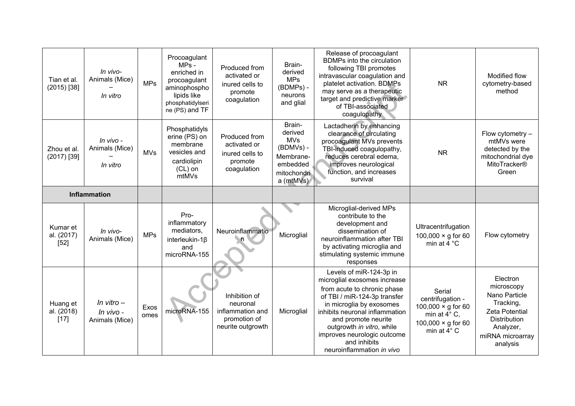| Tian et al.<br>$(2015)$ [38]     | In vivo-<br>Animals (Mice)<br>In vitro      | <b>MPs</b>   | Procoagulant<br>$MPs -$<br>enriched in<br>procoagulant<br>aminophospho<br>lipids like<br>phosphatidylseri<br>ne (PS) and TF | Produced from<br>activated or<br>inured cells to<br>promote<br>coagulation         | Brain-<br>derived<br><b>MPs</b><br>(BDMPs) -<br>neurons<br>and glial                              | Release of procoagulant<br>BDMPs into the circulation<br>following TBI promotes<br>intravascular coagulation and<br>platelet activation. BDMPs<br>may serve as a therapeutic<br>target and predictive marker<br>of TBI-associated<br>coagulopathy                                                                    | <b>NR</b>                                                                                                                    | Modified flow<br>cytometry-based<br>method                                                                                          |
|----------------------------------|---------------------------------------------|--------------|-----------------------------------------------------------------------------------------------------------------------------|------------------------------------------------------------------------------------|---------------------------------------------------------------------------------------------------|----------------------------------------------------------------------------------------------------------------------------------------------------------------------------------------------------------------------------------------------------------------------------------------------------------------------|------------------------------------------------------------------------------------------------------------------------------|-------------------------------------------------------------------------------------------------------------------------------------|
| Zhou et al.<br>$(2017)$ [39]     | In vivo -<br>Animals (Mice)<br>In vitro     | <b>MVs</b>   | Phosphatidyls<br>erine (PS) on<br>membrane<br>vesicles and<br>cardiolipin<br>$(CL)$ on<br>mtMVs                             | Produced from<br>activated or<br>inured cells to<br>promote<br>coagulation         | Brain-<br>derived<br><b>MVs</b><br>(BDMVs) -<br>Membrane-<br>embedded<br>mitochondri<br>a (mtMVs) | Lactadherin by enhancing<br>clearance of circulating<br>procoagulant MVs prevents<br>TBI-induced coagulopathy,<br>reduces cerebral edema,<br>improves neurological<br>function, and increases<br>survival                                                                                                            | <b>NR</b>                                                                                                                    | Flow cytometry -<br>mtMVs were<br>detected by the<br>mitochondrial dye<br>MitoTracker®<br>Green                                     |
| <b>Inflammation</b>              |                                             |              |                                                                                                                             |                                                                                    |                                                                                                   |                                                                                                                                                                                                                                                                                                                      |                                                                                                                              |                                                                                                                                     |
| Kumar et<br>al. (2017)<br>$[52]$ | In vivo-<br>Animals (Mice)                  | <b>MPs</b>   | Pro-<br>inflammatory<br>mediators,<br>interleukin-1 $\beta$<br>and<br>microRNA-155                                          | Neuroinflammatio                                                                   | Microglial                                                                                        | Microglial-derived MPs<br>contribute to the<br>development and<br>dissemination of<br>neuroinflammation after TBI<br>by activating microglia and<br>stimulating systemic immune<br>responses                                                                                                                         | Ultracentrifugation<br>100,000 $\times$ g for 60<br>min at 4 °C                                                              | Flow cytometry                                                                                                                      |
| Huang et<br>al. (2018)<br>$[17]$ | In vitro $-$<br>In vivo -<br>Animals (Mice) | Exos<br>omes | microRNA-155                                                                                                                | Inhibition of<br>neuronal<br>inflammation and<br>promotion of<br>neurite outgrowth | Microglial                                                                                        | Levels of miR-124-3p in<br>microglial exosomes increase<br>from acute to chronic phase<br>of TBI / miR-124-3p transfer<br>in microglia by exosomes<br>inhibits neuronal inflammation<br>and promote neurite<br>outgrowth in vitro, while<br>improves neurologic outcome<br>and inhibits<br>neuroinflammation in vivo | Serial<br>centrifugation -<br>100,000 $\times$ g for 60<br>min at $4^{\circ}$ C,<br>100,000 $\times$ g for 60<br>min at 4° C | Electron<br>microscopy<br>Nano Particle<br>Tracking,<br>Zeta Potential<br>Distribution<br>Analyzer,<br>miRNA microarray<br>analysis |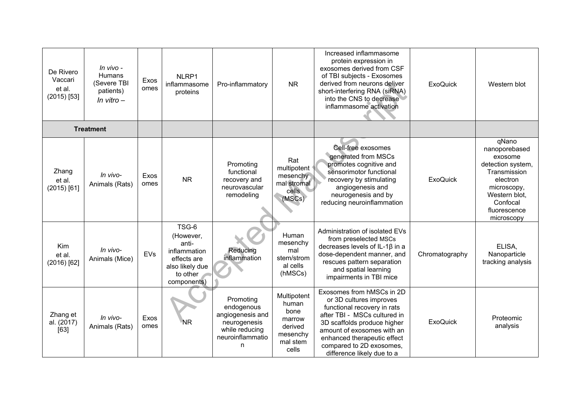| De Rivero<br>Vaccari<br>et al.<br>$(2015)$ [53] | In vivo -<br><b>Humans</b><br>(Severe TBI<br>patients)<br>In vitro $-$ | Exos<br>omes | NLRP1<br>inflammasome<br>proteins                                                                        | Pro-inflammatory                                                                                       | <b>NR</b>                                                                          | Increased inflammasome<br>protein expression in<br>exosomes derived from CSF<br>of TBI subjects - Exosomes<br>derived from neurons deliver<br>short-interfering RNA (siRNA)<br>into the CNS to decrease<br>inflammasome activation                                        | <b>ExoQuick</b> | Western blot                                                                                                                                                 |
|-------------------------------------------------|------------------------------------------------------------------------|--------------|----------------------------------------------------------------------------------------------------------|--------------------------------------------------------------------------------------------------------|------------------------------------------------------------------------------------|---------------------------------------------------------------------------------------------------------------------------------------------------------------------------------------------------------------------------------------------------------------------------|-----------------|--------------------------------------------------------------------------------------------------------------------------------------------------------------|
|                                                 | <b>Treatment</b>                                                       |              |                                                                                                          |                                                                                                        |                                                                                    |                                                                                                                                                                                                                                                                           |                 |                                                                                                                                                              |
| Zhang<br>et al.<br>$(2015)$ [61]                | In vivo-<br>Animals (Rats)                                             | Exos<br>omes | <b>NR</b>                                                                                                | Promoting<br>functional<br>recovery and<br>neurovascular<br>remodeling                                 | Rat<br>multipotent<br>mesenchy<br>mal stromal<br>cells<br>(MSCs)                   | Cell-free exosomes<br>generated from MSCs<br>promotes cognitive and<br>sensorimotor functional<br>recovery by stimulating<br>angiogenesis and<br>neurogenesis and by<br>reducing neuroinflammation                                                                        | <b>ExoQuick</b> | qNano<br>nanoporebased<br>exosome<br>detection system,<br>Transmission<br>electron<br>microscopy,<br>Western blot,<br>Confocal<br>fluorescence<br>microscopy |
| Kim<br>et al.<br>$(2016)$ [62]                  | In vivo-<br>Animals (Mice)                                             | EVs          | TSG-6<br>(However,<br>anti-<br>inflammation<br>effects are<br>also likely due<br>to other<br>components) | Reducing<br>inflammation                                                                               | Human<br>mesenchy<br>mal<br>stem/strom<br>al cells<br>(hMSCs)                      | Administration of isolated EVs<br>from preselected MSCs<br>decreases levels of IL-1 $\beta$ in a<br>dose-dependent manner, and<br>rescues pattern separation<br>and spatial learning<br>impairments in TBI mice                                                           | Chromatography  | ELISA,<br>Nanoparticle<br>tracking analysis                                                                                                                  |
| Zhang et<br>al. (2017)<br>[63]                  | In vivo-<br>Animals (Rats)                                             | Exos<br>omes | <b>NR</b>                                                                                                | Promoting<br>endogenous<br>angiogenesis and<br>neurogenesis<br>while reducing<br>neuroinflammatio<br>n | Multipotent<br>human<br>bone<br>marrow<br>derived<br>mesenchy<br>mal stem<br>cells | Exosomes from hMSCs in 2D<br>or 3D cultures improves<br>functional recovery in rats<br>after TBI - MSCs cultured in<br>3D scaffolds produce higher<br>amount of exosomes with an<br>enhanced therapeutic effect<br>compared to 2D exosomes,<br>difference likely due to a | <b>ExoQuick</b> | Proteomic<br>analysis                                                                                                                                        |